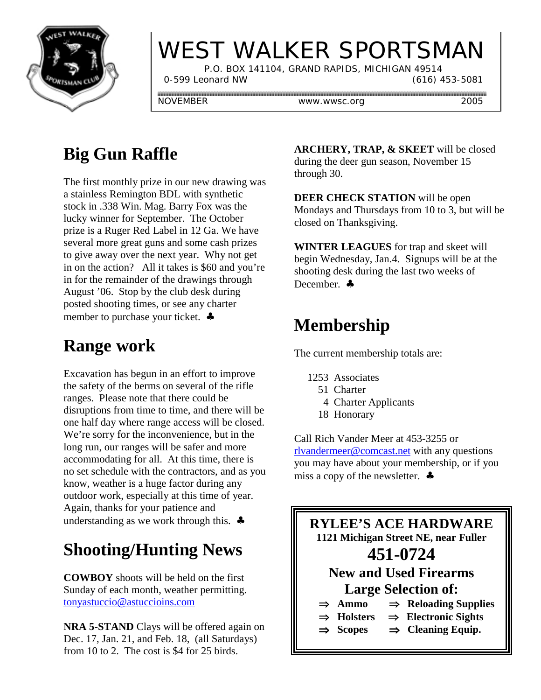

# WEST WALKER SPORTSMAN

 P.O. BOX 141104, GRAND RAPIDS, MICHIGAN 49514 0-599 Leonard NW (616) 453-5081

NOVEMBER www.wwsc.org 2005

## **Big Gun Raffle**

The first monthly prize in our new drawing was a stainless Remington BDL with synthetic stock in .338 Win. Mag. Barry Fox was the lucky winner for September. The October prize is a Ruger Red Label in 12 Ga. We have several more great guns and some cash prizes to give away over the next year. Why not get in on the action? All it takes is \$60 and you're in for the remainder of the drawings through August '06. Stop by the club desk during posted shooting times, or see any charter member to purchase your ticket. ♣

### **Range work**

Excavation has begun in an effort to improve the safety of the berms on several of the rifle ranges. Please note that there could be disruptions from time to time, and there will be one half day where range access will be closed. We're sorry for the inconvenience, but in the long run, our ranges will be safer and more accommodating for all. At this time, there is no set schedule with the contractors, and as you know, weather is a huge factor during any outdoor work, especially at this time of year. Again, thanks for your patience and understanding as we work through this.  $\clubsuit$ 

### **Shooting/Hunting News**

**COWBOY** shoots will be held on the first Sunday of each month, weather permitting. tonyastuccio@astuccioins.com

**NRA 5-STAND** Clays will be offered again on Dec. 17, Jan. 21, and Feb. 18, (all Saturdays) from 10 to 2. The cost is \$4 for 25 birds.

**ARCHERY, TRAP, & SKEET** will be closed during the deer gun season, November 15 through 30.

**DEER CHECK STATION** will be open Mondays and Thursdays from 10 to 3, but will be closed on Thanksgiving.

**WINTER LEAGUES** for trap and skeet will begin Wednesday, Jan.4. Signups will be at the shooting desk during the last two weeks of December. ♣

#### **Membership**

The current membership totals are:

- 1253 Associates
	- 51 Charter
	- 4 Charter Applicants
	- 18 Honorary

Call Rich Vander Meer at 453-3255 or rlvandermeer@comcast.net with any questions you may have about your membership, or if you miss a copy of the newsletter. ♣

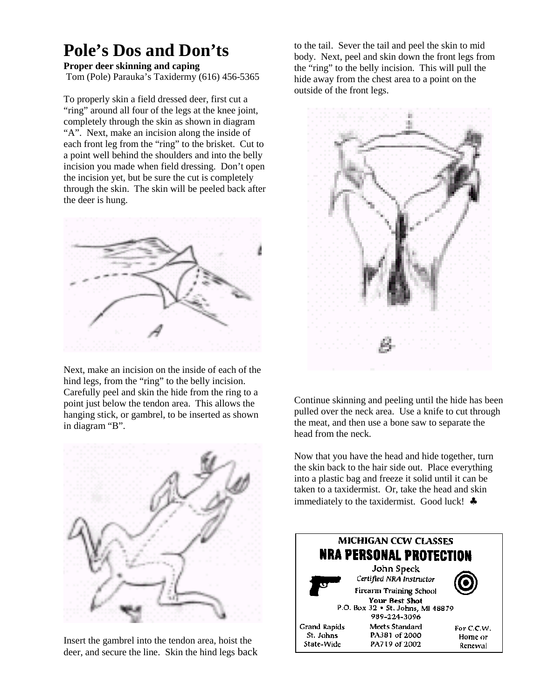#### **Pole's Dos and Don'ts**

#### **Proper deer skinning and caping**

Tom (Pole) Parauka's Taxidermy (616) 456-5365

To properly skin a field dressed deer, first cut a "ring" around all four of the legs at the knee joint, completely through the skin as shown in diagram "A". Next, make an incision along the inside of each front leg from the "ring" to the brisket. Cut to a point well behind the shoulders and into the belly incision you made when field dressing. Don't open the incision yet, but be sure the cut is completely through the skin. The skin will be peeled back after the deer is hung.



Next, make an incision on the inside of each of the hind legs, from the "ring" to the belly incision. Carefully peel and skin the hide from the ring to a point just below the tendon area. This allows the hanging stick, or gambrel, to be inserted as shown in diagram "B".



Insert the gambrel into the tendon area, hoist the deer, and secure the line. Skin the hind legs back

to the tail. Sever the tail and peel the skin to mid body. Next, peel and skin down the front legs from the "ring" to the belly incision. This will pull the hide away from the chest area to a point on the outside of the front legs.



Continue skinning and peeling until the hide has been pulled over the neck area. Use a knife to cut through the meat, and then use a bone saw to separate the head from the neck.

Now that you have the head and hide together, turn the skin back to the hair side out. Place everything into a plastic bag and freeze it solid until it can be taken to a taxidermist. Or, take the head and skin immediately to the taxidermist. Good luck! ♣

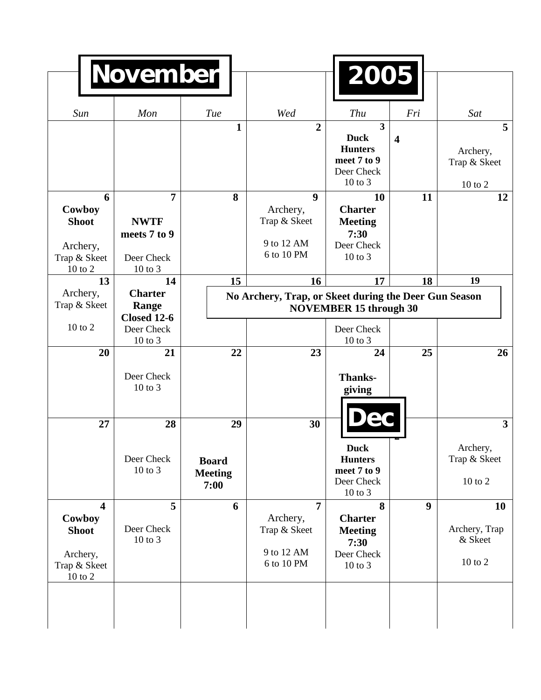|                                                                                          | <b>November</b>                                                        |                                                                                        |                                                                          | 2005                                                                                                 |                         |                                           |
|------------------------------------------------------------------------------------------|------------------------------------------------------------------------|----------------------------------------------------------------------------------------|--------------------------------------------------------------------------|------------------------------------------------------------------------------------------------------|-------------------------|-------------------------------------------|
| Sun                                                                                      | Mon                                                                    | Tue                                                                                    | Wed                                                                      | Thu                                                                                                  | Fri                     | Sat                                       |
|                                                                                          |                                                                        | 1                                                                                      | $\overline{2}$                                                           | $\overline{\mathbf{3}}$<br><b>Duck</b><br><b>Hunters</b><br>meet 7 to 9<br>Deer Check<br>$10$ to $3$ | $\overline{\mathbf{4}}$ | 5<br>Archery,<br>Trap & Skeet<br>10 to 2  |
| 6<br>Cowboy<br><b>Shoot</b><br>Archery,<br>Trap & Skeet<br>$10$ to $2\,$                 | $\overline{7}$<br><b>NWTF</b><br>meets 7 to 9<br>Deer Check<br>10 to 3 | 8                                                                                      | $\boldsymbol{9}$<br>Archery,<br>Trap & Skeet<br>9 to 12 AM<br>6 to 10 PM | 10<br><b>Charter</b><br><b>Meeting</b><br>7:30<br>Deer Check<br>$10$ to $3$                          | 11                      | 12                                        |
| 13                                                                                       | 14                                                                     | 15                                                                                     | 16                                                                       | 17                                                                                                   | 18                      | 19                                        |
| Archery,<br>Trap & Skeet                                                                 | <b>Charter</b><br>Range<br><b>Closed 12-6</b>                          | No Archery, Trap, or Skeet during the Deer Gun Season<br><b>NOVEMBER 15 through 30</b> |                                                                          |                                                                                                      |                         |                                           |
| $10$ to $2$                                                                              | Deer Check<br>10 to 3                                                  |                                                                                        |                                                                          | Deer Check<br>$10$ to $3$                                                                            |                         |                                           |
| 20                                                                                       | 21                                                                     | 22                                                                                     | 23                                                                       | 24                                                                                                   | 25                      | 26                                        |
|                                                                                          | Deer Check<br>10 to 3                                                  |                                                                                        |                                                                          | <b>Thanks-</b><br>giving                                                                             |                         |                                           |
| 27                                                                                       | 28                                                                     | 29                                                                                     | 30                                                                       |                                                                                                      |                         | $\overline{\mathbf{3}}$                   |
|                                                                                          | Deer Check<br>10 to 3                                                  | <b>Board</b><br><b>Meeting</b><br>7:00                                                 |                                                                          | <b>Duck</b><br><b>Hunters</b><br>meet 7 to 9<br>Deer Check<br>10 to 3                                |                         | Archery,<br>Trap & Skeet<br>$10$ to $2\,$ |
| $\overline{\mathbf{4}}$<br>Cowboy<br><b>Shoot</b><br>Archery,<br>Trap & Skeet<br>10 to 2 | 5<br>Deer Check<br>10 to 3                                             | 6                                                                                      | $\overline{7}$<br>Archery,<br>Trap & Skeet<br>9 to 12 AM<br>6 to 10 PM   | 8<br><b>Charter</b><br><b>Meeting</b><br>7:30<br>Deer Check<br>10 to 3                               | $\boldsymbol{9}$        | 10<br>Archery, Trap<br>& Skeet<br>10 to 2 |